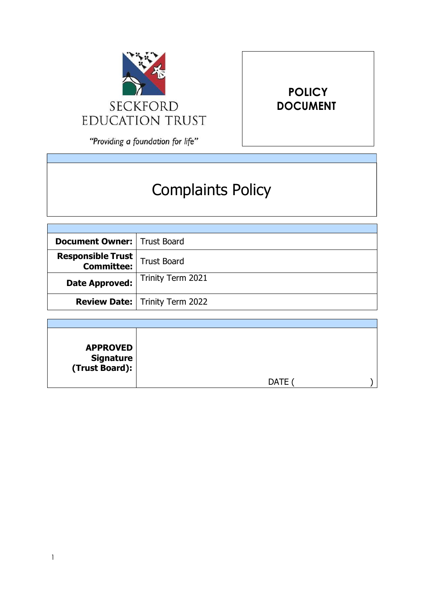

"Providing a foundation for life"

# Complaints Policy

**POLICY DOCUMENT**

| <b>Document Owner:   Trust Board</b>                      |                                       |
|-----------------------------------------------------------|---------------------------------------|
| <b>Responsible Trust</b><br><b>Committee:</b> Trust Board |                                       |
| <b>Date Approved:</b>                                     | Trinity Term 2021                     |
|                                                           | <b>Review Date:</b> Trinity Term 2022 |

| <b>APPROVED</b><br><b>Signature</b><br>(Trust Board): |             |  |
|-------------------------------------------------------|-------------|--|
|                                                       | <b>DATE</b> |  |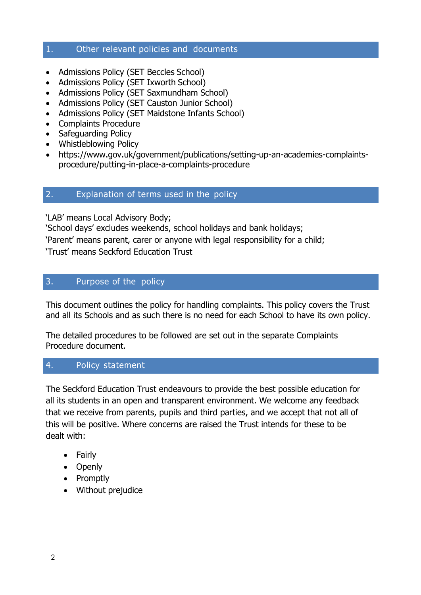## 1. Other relevant policies and documents

- Admissions Policy (SET Beccles School)
- Admissions Policy (SET Ixworth School)
- Admissions Policy (SET Saxmundham School)
- Admissions Policy (SET Causton Junior School)
- Admissions Policy (SET Maidstone Infants School)
- Complaints Procedure
- Safeguarding Policy
- Whistleblowing Policy
- https:/[/www.gov.uk/government/publications/setting-up-an-academies-complaints](http://www.gov.uk/government/publications/setting-up-an-academies-complaints-)procedure/putting-in-place-a-complaints-procedure

### 2. Explanation of terms used in the policy

'LAB' means Local Advisory Body;

'School days' excludes weekends, school holidays and bank holidays;

'Parent' means parent, carer or anyone with legal responsibility for a child;

'Trust' means Seckford Education Trust

## 3. Purpose of the policy

This document outlines the policy for handling complaints. This policy covers the Trust and all its Schools and as such there is no need for each School to have its own policy.

The detailed procedures to be followed are set out in the separate Complaints Procedure document.

## 4. Policy statement

The Seckford Education Trust endeavours to provide the best possible education for all its students in an open and transparent environment. We welcome any feedback that we receive from parents, pupils and third parties, and we accept that not all of this will be positive. Where concerns are raised the Trust intends for these to be dealt with:

- Fairly
- Openly
- Promptly
- Without prejudice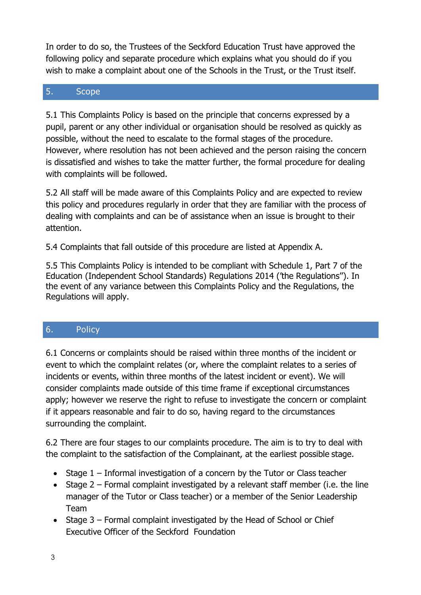In order to do so, the Trustees of the Seckford Education Trust have approved the following policy and separate procedure which explains what you should do if you wish to make a complaint about one of the Schools in the Trust, or the Trust itself.

# 5. Scope

5.1 This Complaints Policy is based on the principle that concerns expressed by a pupil, parent or any other individual or organisation should be resolved as quickly as possible, without the need to escalate to the formal stages of the procedure. However, where resolution has not been achieved and the person raising the concern is dissatisfied and wishes to take the matter further, the formal procedure for dealing with complaints will be followed.

5.2 All staff will be made aware of this Complaints Policy and are expected to review this policy and procedures regularly in order that they are familiar with the process of dealing with complaints and can be of assistance when an issue is brought to their attention.

5.4 Complaints that fall outside of this procedure are listed at Appendix A.

5.5 This Complaints Policy is intended to be compliant with Schedule 1, Part 7 of the Education (Independent School Standards) Regulations 2014 ('the Regulations''). In the event of any variance between this Complaints Policy and the Regulations, the Regulations will apply.

# 6. Policy

6.1 Concerns or complaints should be raised within three months of the incident or event to which the complaint relates (or, where the complaint relates to a series of incidents or events, within three months of the latest incident or event). We will consider complaints made outside of this time frame if exceptional circumstances apply; however we reserve the right to refuse to investigate the concern or complaint if it appears reasonable and fair to do so, having regard to the circumstances surrounding the complaint.

6.2 There are four stages to our complaints procedure. The aim is to try to deal with the complaint to the satisfaction of the Complainant, at the earliest possible stage.

- Stage 1 Informal investigation of a concern by the Tutor or Class teacher
- Stage  $2$  Formal complaint investigated by a relevant staff member (i.e. the line manager of the Tutor or Class teacher) or a member of the Senior Leadership Team
- Stage 3 Formal complaint investigated by the Head of School or Chief Executive Officer of the Seckford Foundation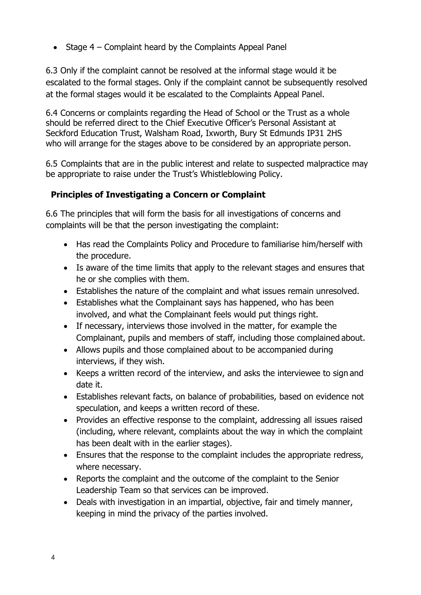$\bullet$  Stage 4 – Complaint heard by the Complaints Appeal Panel

6.3 Only if the complaint cannot be resolved at the informal stage would it be escalated to the formal stages. Only if the complaint cannot be subsequently resolved at the formal stages would it be escalated to the Complaints Appeal Panel.

6.4 Concerns or complaints regarding the Head of School or the Trust as a whole should be referred direct to the Chief Executive Officer's Personal Assistant at Seckford Education Trust, Walsham Road, Ixworth, Bury St Edmunds IP31 2HS who will arrange for the stages above to be considered by an appropriate person.

6.5 Complaints that are in the public interest and relate to suspected malpractice may be appropriate to raise under the Trust's Whistleblowing Policy.

# **Principles of Investigating a Concern or Complaint**

6.6 The principles that will form the basis for all investigations of concerns and complaints will be that the person investigating the complaint:

- Has read the Complaints Policy and Procedure to familiarise him/herself with the procedure.
- Is aware of the time limits that apply to the relevant stages and ensures that he or she complies with them.
- Establishes the nature of the complaint and what issues remain unresolved.
- Establishes what the Complainant says has happened, who has been involved, and what the Complainant feels would put things right.
- If necessary, interviews those involved in the matter, for example the Complainant, pupils and members of staff, including those complained about.
- Allows pupils and those complained about to be accompanied during interviews, if they wish.
- Keeps a written record of the interview, and asks the interviewee to sign and date it.
- Establishes relevant facts, on balance of probabilities, based on evidence not speculation, and keeps a written record of these.
- Provides an effective response to the complaint, addressing all issues raised (including, where relevant, complaints about the way in which the complaint has been dealt with in the earlier stages).
- Ensures that the response to the complaint includes the appropriate redress, where necessary.
- Reports the complaint and the outcome of the complaint to the Senior Leadership Team so that services can be improved.
- Deals with investigation in an impartial, objective, fair and timely manner, keeping in mind the privacy of the parties involved.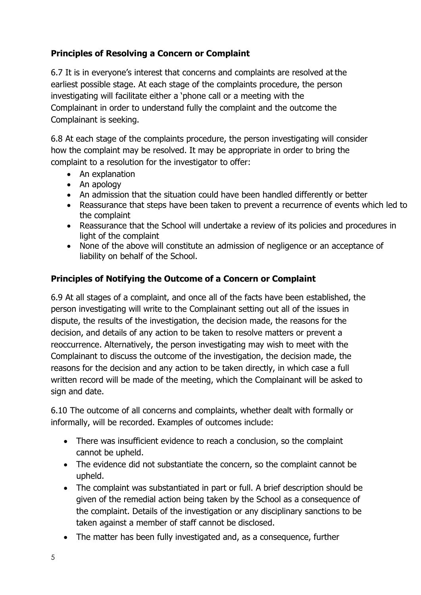# **Principles of Resolving a Concern or Complaint**

6.7 It is in everyone's interest that concerns and complaints are resolved at the earliest possible stage. At each stage of the complaints procedure, the person investigating will facilitate either a 'phone call or a meeting with the Complainant in order to understand fully the complaint and the outcome the Complainant is seeking.

6.8 At each stage of the complaints procedure, the person investigating will consider how the complaint may be resolved. It may be appropriate in order to bring the complaint to a resolution for the investigator to offer:

- An explanation
- An apology
- An admission that the situation could have been handled differently or better
- Reassurance that steps have been taken to prevent a recurrence of events which led to the complaint
- Reassurance that the School will undertake a review of its policies and procedures in light of the complaint
- None of the above will constitute an admission of negligence or an acceptance of liability on behalf of the School.

# **Principles of Notifying the Outcome of a Concern or Complaint**

6.9 At all stages of a complaint, and once all of the facts have been established, the person investigating will write to the Complainant setting out all of the issues in dispute, the results of the investigation, the decision made, the reasons for the decision, and details of any action to be taken to resolve matters or prevent a reoccurrence. Alternatively, the person investigating may wish to meet with the Complainant to discuss the outcome of the investigation, the decision made, the reasons for the decision and any action to be taken directly, in which case a full written record will be made of the meeting, which the Complainant will be asked to sign and date.

6.10 The outcome of all concerns and complaints, whether dealt with formally or informally, will be recorded. Examples of outcomes include:

- There was insufficient evidence to reach a conclusion, so the complaint cannot be upheld.
- The evidence did not substantiate the concern, so the complaint cannot be upheld.
- The complaint was substantiated in part or full. A brief description should be given of the remedial action being taken by the School as a consequence of the complaint. Details of the investigation or any disciplinary sanctions to be taken against a member of staff cannot be disclosed.
- The matter has been fully investigated and, as a consequence, further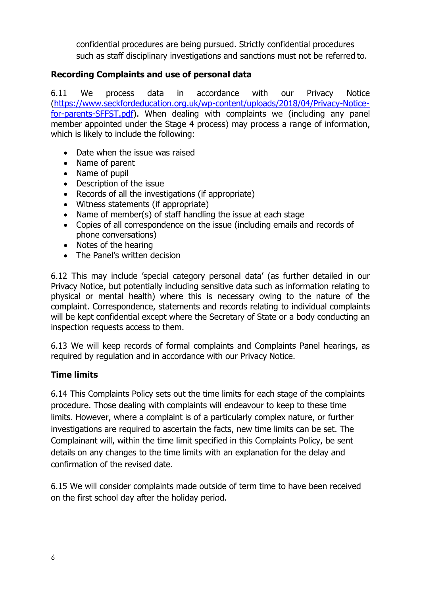confidential procedures are being pursued. Strictly confidential procedures such as staff disciplinary investigations and sanctions must not be referred to.

# **Recording Complaints and use of personal data**

6.11 We process data in accordance with our Privacy Notice [\(https://www.seckfordeducation.org.uk/wp-content/uploads/2018/04/Privacy-Notice](https://www.seckfordeducation.org.uk/wp-content/uploads/2018/04/Privacy-Notice-for-parents-SFFST.pdf)[for-parents-SFFST.pdf\)](https://www.seckfordeducation.org.uk/wp-content/uploads/2018/04/Privacy-Notice-for-parents-SFFST.pdf). When dealing with complaints we (including any panel member appointed under the Stage 4 process) may process a range of information, which is likely to include the following:

- Date when the issue was raised
- Name of parent
- Name of pupil
- Description of the issue
- Records of all the investigations (if appropriate)
- Witness statements (if appropriate)
- Name of member(s) of staff handling the issue at each stage
- Copies of all correspondence on the issue (including emails and records of phone conversations)
- Notes of the hearing
- The Panel's written decision

6.12 This may include 'special category personal data' (as further detailed in our Privacy Notice, but potentially including sensitive data such as information relating to physical or mental health) where this is necessary owing to the nature of the complaint. Correspondence, statements and records relating to individual complaints will be kept confidential except where the Secretary of State or a body conducting an inspection requests access to them.

6.13 We will keep records of formal complaints and Complaints Panel hearings, as required by regulation and in accordance with our Privacy Notice.

## **Time limits**

6.14 This Complaints Policy sets out the time limits for each stage of the complaints procedure. Those dealing with complaints will endeavour to keep to these time limits. However, where a complaint is of a particularly complex nature, or further investigations are required to ascertain the facts, new time limits can be set. The Complainant will, within the time limit specified in this Complaints Policy, be sent details on any changes to the time limits with an explanation for the delay and confirmation of the revised date.

6.15 We will consider complaints made outside of term time to have been received on the first school day after the holiday period.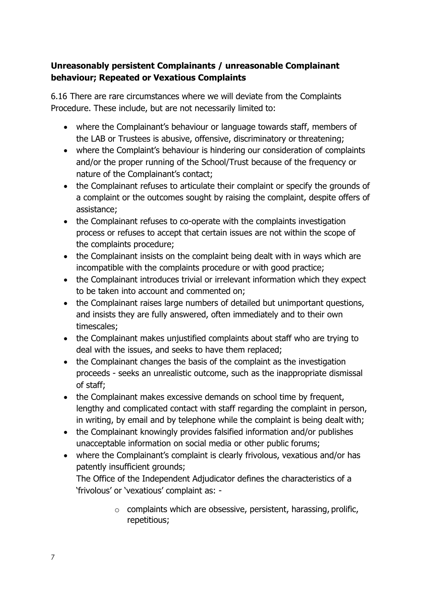# **Unreasonably persistent Complainants / unreasonable Complainant behaviour; Repeated or Vexatious Complaints**

6.16 There are rare circumstances where we will deviate from the Complaints Procedure. These include, but are not necessarily limited to:

- where the Complainant's behaviour or language towards staff, members of the LAB or Trustees is abusive, offensive, discriminatory or threatening;
- where the Complaint's behaviour is hindering our consideration of complaints and/or the proper running of the School/Trust because of the frequency or nature of the Complainant's contact;
- the Complainant refuses to articulate their complaint or specify the grounds of a complaint or the outcomes sought by raising the complaint, despite offers of assistance;
- the Complainant refuses to co-operate with the complaints investigation process or refuses to accept that certain issues are not within the scope of the complaints procedure;
- the Complainant insists on the complaint being dealt with in ways which are incompatible with the complaints procedure or with good practice;
- the Complainant introduces trivial or irrelevant information which they expect to be taken into account and commented on;
- the Complainant raises large numbers of detailed but unimportant questions, and insists they are fully answered, often immediately and to their own timescales;
- the Complainant makes unjustified complaints about staff who are trying to deal with the issues, and seeks to have them replaced;
- the Complainant changes the basis of the complaint as the investigation proceeds - seeks an unrealistic outcome, such as the inappropriate dismissal of staff;
- the Complainant makes excessive demands on school time by frequent, lengthy and complicated contact with staff regarding the complaint in person, in writing, by email and by telephone while the complaint is being dealt with;
- the Complainant knowingly provides falsified information and/or publishes unacceptable information on social media or other public forums;
- where the Complainant's complaint is clearly frivolous, vexatious and/or has patently insufficient grounds;

The Office of the Independent Adjudicator defines the characteristics of a 'frivolous' or 'vexatious' complaint as: -

> $\circ$  complaints which are obsessive, persistent, harassing, prolific, repetitious;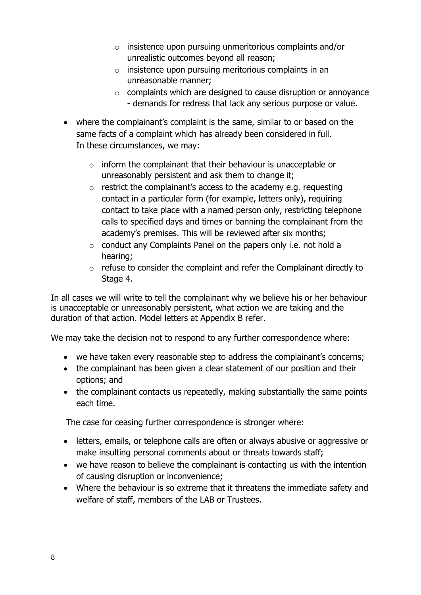- o insistence upon pursuing unmeritorious complaints and/or unrealistic outcomes beyond all reason;
- o insistence upon pursuing meritorious complaints in an unreasonable manner;
- $\circ$  complaints which are designed to cause disruption or annoyance - demands for redress that lack any serious purpose or value.
- where the complainant's complaint is the same, similar to or based on the same facts of a complaint which has already been considered in full. In these circumstances, we may:
	- $\circ$  inform the complainant that their behaviour is unacceptable or unreasonably persistent and ask them to change it;
	- o restrict the complainant's access to the academy e.g. requesting contact in a particular form (for example, letters only), requiring contact to take place with a named person only, restricting telephone calls to specified days and times or banning the complainant from the academy's premises. This will be reviewed after six months;
	- o conduct any Complaints Panel on the papers only i.e. not hold a hearing;
	- o refuse to consider the complaint and refer the Complainant directly to Stage 4.

In all cases we will write to tell the complainant why we believe his or her behaviour is unacceptable or unreasonably persistent, what action we are taking and the duration of that action. Model letters at Appendix B refer.

We may take the decision not to respond to any further correspondence where:

- we have taken every reasonable step to address the complainant's concerns;
- the complainant has been given a clear statement of our position and their options; and
- the complainant contacts us repeatedly, making substantially the same points each time.

The case for ceasing further correspondence is stronger where:

- letters, emails, or telephone calls are often or always abusive or aggressive or make insulting personal comments about or threats towards staff;
- we have reason to believe the complainant is contacting us with the intention of causing disruption or inconvenience;
- Where the behaviour is so extreme that it threatens the immediate safety and welfare of staff, members of the LAB or Trustees.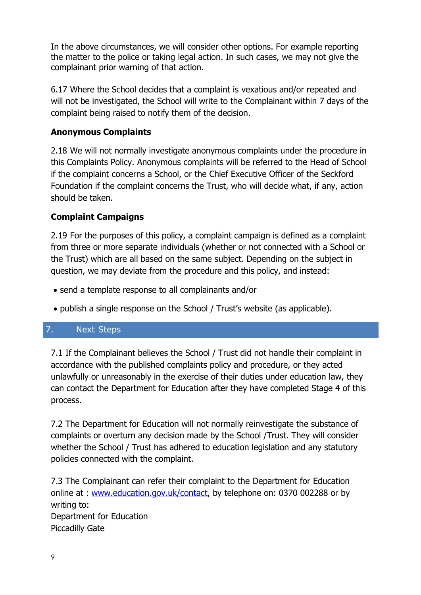In the above circumstances, we will consider other options. For example reporting the matter to the police or taking legal action. In such cases, we may not give the complainant prior warning of that action.

6.17 Where the School decides that a complaint is vexatious and/or repeated and will not be investigated, the School will write to the Complainant within 7 days of the complaint being raised to notify them of the decision.

# **Anonymous Complaints**

2.18 We will not normally investigate anonymous complaints under the procedure in this Complaints Policy. Anonymous complaints will be referred to the Head of School if the complaint concerns a School, or the Chief Executive Officer of the Seckford Foundation if the complaint concerns the Trust, who will decide what, if any, action should be taken.

# **Complaint Campaigns**

2.19 For the purposes of this policy, a complaint campaign is defined as a complaint from three or more separate individuals (whether or not connected with a School or the Trust) which are all based on the same subject. Depending on the subject in question, we may deviate from the procedure and this policy, and instead:

- send a template response to all complainants and/or
- publish a single response on the School / Trust's website (as applicable).

## 7. Next Steps

7.1 If the Complainant believes the School / Trust did not handle their complaint in accordance with the published complaints policy and procedure, or they acted unlawfully or unreasonably in the exercise of their duties under education law, they can contact the Department for Education after they have completed Stage 4 of this process.

7.2 The Department for Education will not normally reinvestigate the substance of complaints or overturn any decision made by the School /Trust. They will consider whether the School / Trust has adhered to education legislation and any statutory policies connected with the complaint.

7.3 The Complainant can refer their complaint to the Department for Education online at : [www.education.gov.uk/contact,](http://www.education.gov.uk/contact) by telephone on: 0370 002288 or by writing to: Department for Education Piccadilly Gate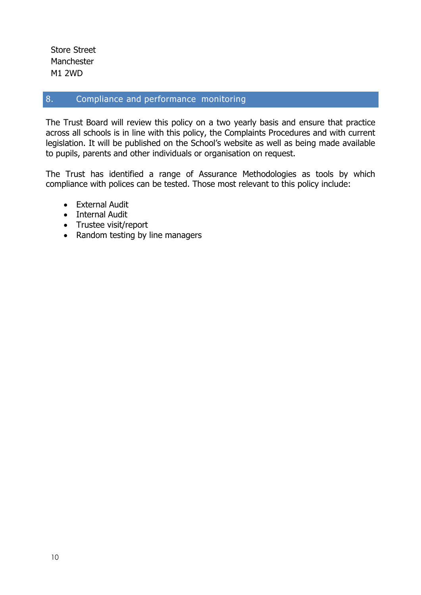Store Street Manchester M1 2WD

## 8. Compliance and performance monitoring

The Trust Board will review this policy on a two yearly basis and ensure that practice across all schools is in line with this policy, the Complaints Procedures and with current legislation. It will be published on the School's website as well as being made available to pupils, parents and other individuals or organisation on request.

The Trust has identified a range of Assurance Methodologies as tools by which compliance with polices can be tested. Those most relevant to this policy include:

- External Audit
- Internal Audit
- Trustee visit/report
- Random testing by line managers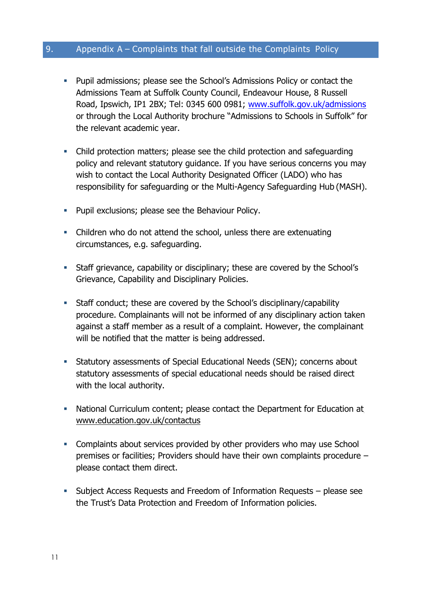# 9. Appendix A – Complaints that fall outside the Complaints Policy

- **Pupil admissions; please see the School's Admissions Policy or contact the** Admissions Team at Suffolk County Council, Endeavour House, 8 Russell Road, Ipswich, IP1 2BX; Tel: 0345 600 0981; [www.suffolk.gov.uk/admissions](http://www.suffolk.gov.uk/admissions) or through the Local Authority brochure "Admissions to Schools in Suffolk" for the relevant academic year.
- Child protection matters; please see the child protection and safeguarding policy and relevant statutory guidance. If you have serious concerns you may wish to contact the Local Authority Designated Officer (LADO) who has responsibility for safeguarding or the Multi-Agency Safeguarding Hub (MASH).
- **Pupil exclusions; please see the Behaviour Policy.**
- Children who do not attend the school, unless there are extenuating circumstances, e.g. safeguarding.
- Staff grievance, capability or disciplinary; these are covered by the School's Grievance, Capability and Disciplinary Policies.
- Staff conduct; these are covered by the School's disciplinary/capability procedure. Complainants will not be informed of any disciplinary action taken against a staff member as a result of a complaint. However, the complainant will be notified that the matter is being addressed.
- Statutory assessments of Special Educational Needs (SEN); concerns about statutory assessments of special educational needs should be raised direct with the local authority.
- National Curriculum content; please contact the Department for Education at [www.education.gov.uk/contactus](http://www.education.gov.uk/contactus)
- Complaints about services provided by other providers who may use School premises or facilities; Providers should have their own complaints procedure – please contact them direct.
- Subject Access Requests and Freedom of Information Requests please see the Trust's Data Protection and Freedom of Information policies.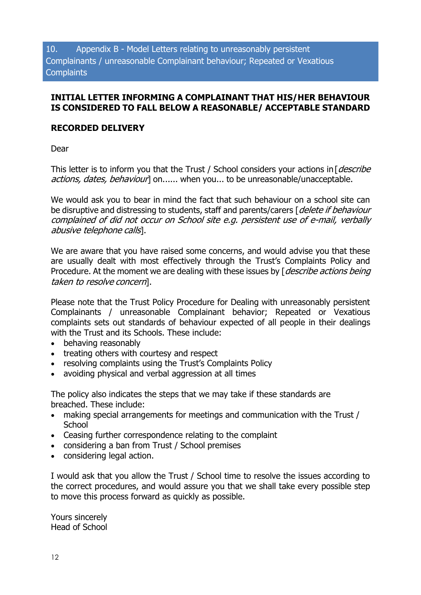#### **INITIAL LETTER INFORMING A COMPLAINANT THAT HIS/HER BEHAVIOUR IS CONSIDERED TO FALL BELOW A REASONABLE/ ACCEPTABLE STANDARD**

#### **RECORDED DELIVERY**

Dear

This letter is to inform you that the Trust / School considers your actions in  $[describe]$ actions, dates, behaviour] on...... when you... to be unreasonable/unacceptable.

We would ask you to bear in mind the fact that such behaviour on a school site can be disruptive and distressing to students, staff and parents/carers [delete if behaviour complained of did not occur on School site e.g. persistent use of e-mail, verbally abusive telephone calls].

We are aware that you have raised some concerns, and would advise you that these are usually dealt with most effectively through the Trust's Complaints Policy and Procedure. At the moment we are dealing with these issues by [*describe actions being* taken to resolve concern].

Please note that the Trust Policy Procedure for Dealing with unreasonably persistent Complainants / unreasonable Complainant behavior; Repeated or Vexatious complaints sets out standards of behaviour expected of all people in their dealings with the Trust and its Schools. These include:

- behaving reasonably
- treating others with courtesy and respect
- resolving complaints using the Trust's Complaints Policy
- avoiding physical and verbal aggression at all times

The policy also indicates the steps that we may take if these standards are breached. These include:

- making special arrangements for meetings and communication with the Trust / **School**
- Ceasing further correspondence relating to the complaint
- considering a ban from Trust / School premises
- considering legal action.

I would ask that you allow the Trust / School time to resolve the issues according to the correct procedures, and would assure you that we shall take every possible step to move this process forward as quickly as possible.

Yours sincerely Head of School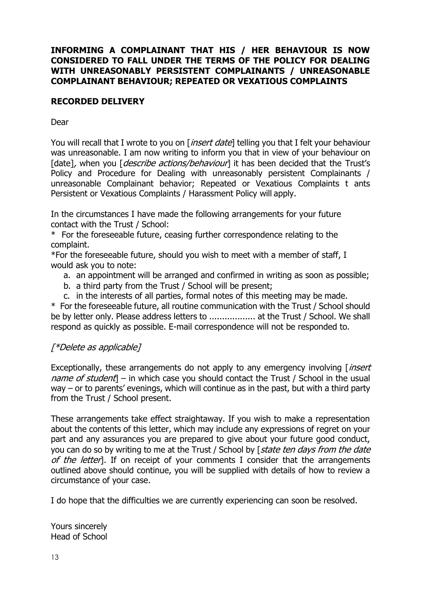#### **INFORMING A COMPLAINANT THAT HIS / HER BEHAVIOUR IS NOW CONSIDERED TO FALL UNDER THE TERMS OF THE POLICY FOR DEALING WITH UNREASONABLY PERSISTENT COMPLAINANTS / UNREASONABLE COMPLAINANT BEHAVIOUR; REPEATED OR VEXATIOUS COMPLAINTS**

#### **RECORDED DELIVERY**

Dear

You will recall that I wrote to you on [*insert date*] telling you that I felt your behaviour was unreasonable. I am now writing to inform you that in view of your behaviour on [date], when you *[describe actions/behaviour*] it has been decided that the Trust's Policy and Procedure for Dealing with unreasonably persistent Complainants / unreasonable Complainant behavior; Repeated or Vexatious Complaints t ants Persistent or Vexatious Complaints / Harassment Policy will apply.

In the circumstances I have made the following arrangements for your future contact with the Trust / School:

\* For the foreseeable future, ceasing further correspondence relating to the complaint.

\*For the foreseeable future, should you wish to meet with a member of staff, I would ask you to note:

- a. an appointment will be arranged and confirmed in writing as soon as possible;
- b. a third party from the Trust / School will be present;
- c. in the interests of all parties, formal notes of this meeting may be made.

\* For the foreseeable future, all routine communication with the Trust / School should be by letter only. Please address letters to .................. at the Trust / School. We shall respond as quickly as possible. E-mail correspondence will not be responded to.

#### [\*Delete as applicable]

Exceptionally, these arrangements do not apply to any emergency involving  $\int$  insert name of student  $-$  in which case you should contact the Trust / School in the usual way – or to parents' evenings, which will continue as in the past, but with a third party from the Trust / School present.

These arrangements take effect straightaway. If you wish to make a representation about the contents of this letter, which may include any expressions of regret on your part and any assurances you are prepared to give about your future good conduct, you can do so by writing to me at the Trust / School by [state ten days from the date of the letter]. If on receipt of your comments I consider that the arrangements outlined above should continue, you will be supplied with details of how to review a circumstance of your case.

I do hope that the difficulties we are currently experiencing can soon be resolved.

Yours sincerely Head of School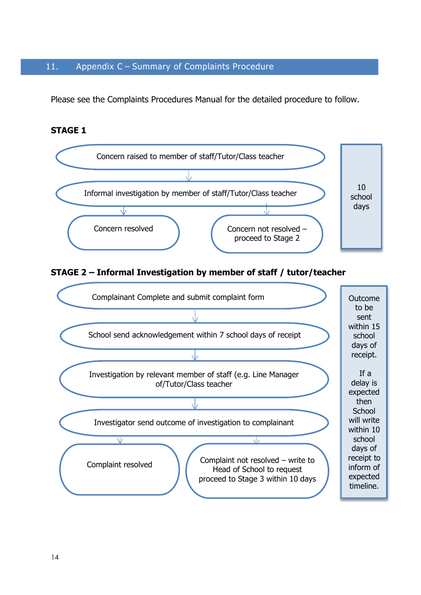#### 11. Appendix C – Summary of Complaints Procedure

Please see the Complaints Procedures Manual for the detailed procedure to follow.

#### **STAGE 1**

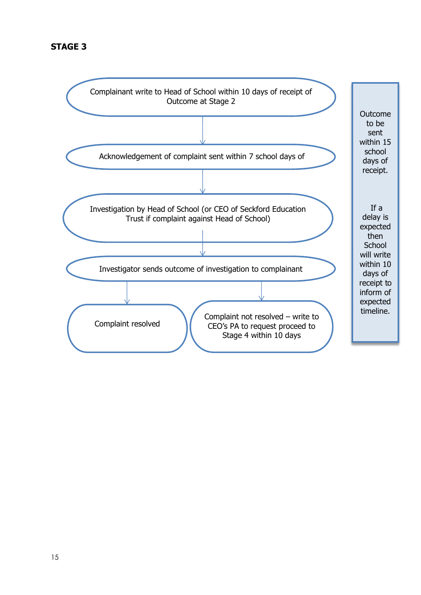## **STAGE 3**